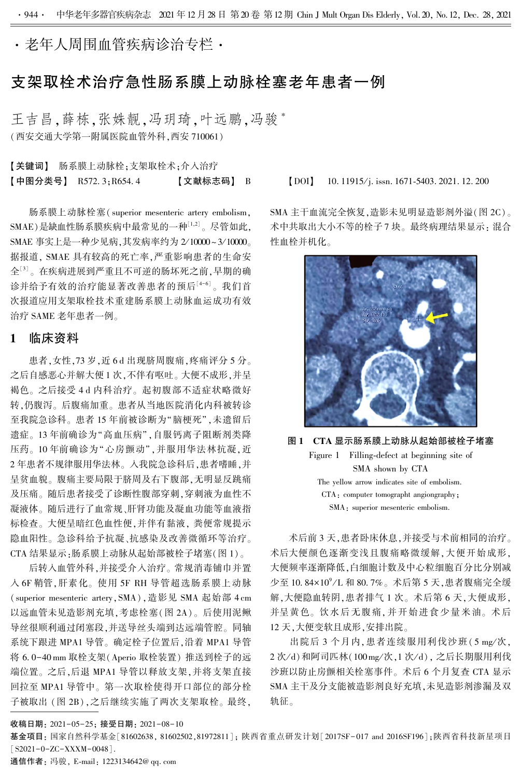·老年人周围血管疾病诊治专栏·

# 支架取栓术治疗急性肠系膜上动脉栓塞老年患者一例

王吉昌,薛栋,张姝靓,冯玥琦,叶远鹏,冯骏\* (西安交通大学第一附属医院血管外科,西安 710061)

【关键词】 肠系膜上动脉栓;支架取栓术;介入治疗 【中图分类号】 R572. 3;R654. 4 【文献标志码】 B 【DOI】 10. 11915 / j. issn. 1671-5403. 2021. 12. 200

肠系膜上动脉栓塞( superior mesenteric artery embolism,  $\text{SMAE}$ )是缺血性肠系膜疾病中最常见的一种 $^{\text{\tiny{[1,2]}}}$ 。尽管如此, SMAE 事实上是一种少见病,其发病率约为 2/ 10000~ 3/ 10000。 据报道, SMAE 具有较高的死亡率,严重影响患者的生命安 全[3] 。 在疾病进展到严重且不可逆的肠坏死之前,早期的确 诊并给予有效的治疗能显著改善患者的预后[4-6] 。 我们首 次报道应用支架取栓技术重建肠系膜上动脉血运成功有效 治疗 SAME 老年患者一例。

### 1 临床资料

患者,女性,73 岁,近 6 d 出现脐周腹痛,疼痛评分 5 分。 之后自感恶心并解大便 1 次,不伴有呕吐。 大便不成形,并呈 褐色。 之后接受 4 d 内科治疗。 起初腹部不适症状略微好 转,仍腹泻。 后腹痛加重。 患者从当地医院消化内科被转诊 至我院急诊科。 患者 15 年前被诊断为"脑梗死",未遗留后 遗症。 13 年前确诊为"高血压病",自服钙离子阻断剂类降 压药。 10 年前确诊为"心房颤动",并服用华法林抗凝,近 2 年患者不规律服用华法林。 入我院急诊科后,患者嗜睡,并 呈贫血貌。 腹痛主要局限于脐周及右下腹部,无明显反跳痛 及压痛。 随后患者接受了诊断性腹部穿刺,穿刺液为血性不 凝液体。 随后进行了血常规、肝肾功能及凝血功能等血液指 标检查。 大便呈暗红色血性便,并伴有黏液, 粪便常规提示 隐血阳性。 急诊科给予抗凝、抗感染及改善微循环等治疗。 CTA 结果显示:肠系膜上动脉从起始部被栓子堵塞(图 1)。

后转入血管外科,并接受介入治疗。 常规消毒铺巾并置 入 6F 鞘管,肝素化。 使用 5F RH 导管超选肠系膜上动脉 (superior mesenteric artery,SMA),造影见 SMA 起始部 4 cm 以远血管未见造影剂充填,考虑栓塞(图 2A)。 后使用泥鳅 导丝很顺利通过闭塞段,并送导丝头端到达远端管腔。 同轴 系统下跟进 MPA1 导管。 确定栓子位置后,沿着 MPA1 导管 将 6. 0-40 mm 取栓支架(Aperio 取栓装置) 推送到栓子的远 端位置。 之后,后退 MPA1 导管以释放支架,并将支架直接 回拉至 MPA1 导管中。 第一次取栓使得开口部位的部分栓 子被取出 (图 2B),之后继续实施了两次支架取栓。 最终,

SMA 主干血流完全恢复,造影未见明显造影剂外溢(图 2C)。 术中共取出大小不等的栓子 7 块。 最终病理结果显示: 混合 性血栓并机化。



图 1 CTA 显示肠系膜上动脉从起始部被栓子堵塞 Figure 1 Filling-defect at beginning site of SMA shown by CTA The yellow arrow indicates site of embolism. CTA: computer tomographt angiongraphy; SMA: superior mesenteric embolism.

术后前 3 天,患者卧床休息,并接受与术前相同的治疗。 术后大便颜色逐渐变浅且腹痛略微缓解,大便开始成形, 大便频率逐渐降低,白细胞计数及中心粒细胞百分比分别减 少至 10. 84×10°/L 和 80. 7%。术后第 5 天,患者腹痛完全缓 解,大便隐血转阴,患者排气 1 次。 术后第 6 天,大便成形, 并呈黄色。 饮水后无腹痛,并开始进食少量米油。 术后 12 天,大便变软且成形,安排出院。

出院后 3 个月内, 患者连续服用利伐沙班 (5 mg/次, 2 次/d) 和阿司匹林(100 mg/次, 1 次/d), 之后长期服用利伐 沙班以防止房颤相关栓塞事件。 术后 6 个月复查 CTA 显示 SMA 主干及分支能被造影剂良好充填,未见造影剂渗漏及双 轨征。

收稿日期: 2021-05-25; 接受日期: 2021-08-10

基金项目: 国家自然科学基金[81602638, 81602502,81972811]; 陕西省重点研发计划[2017SF-017 and 2016SF196];陕西省科技新星项目  $[$  S2021-0-ZC-XXXM-0048].

通信作者: 冯骏, E-mail: 1223134642@ qq. com